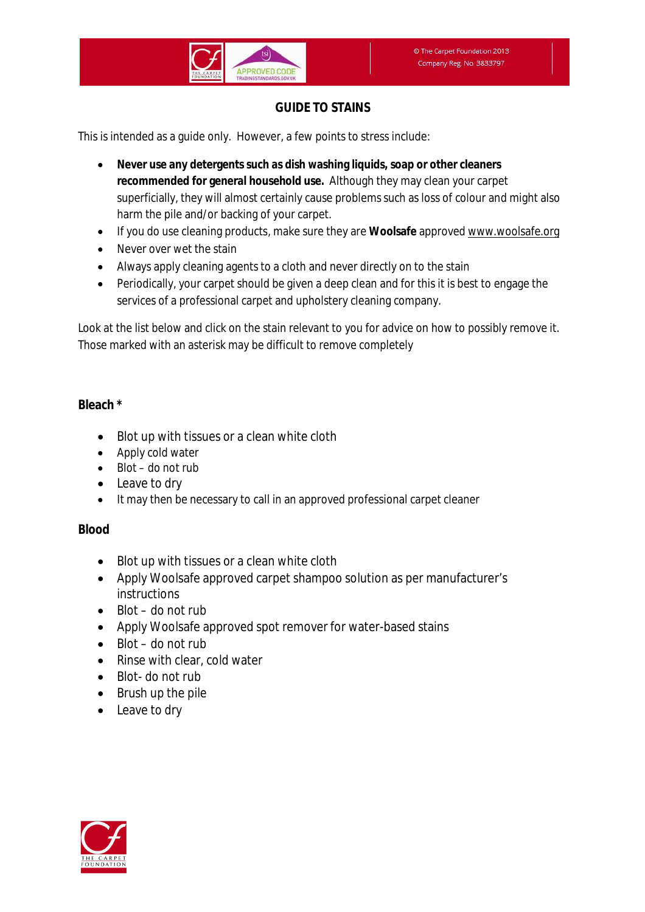# **GUIDE TO STAINS**

This is intended as a guide only. However, a few points to stress include:

- **Never use any detergents such as dish washing liquids, soap or other cleaners recommended for general household use.** Although they may clean your carpet superficially, they will almost certainly cause problems such as loss of colour and might also harm the pile and/or backing of your carpet.
- If you do use cleaning products, make sure they are **Woolsafe** approved www.woolsafe.org
- Never over wet the stain
- Always apply cleaning agents to a cloth and never directly on to the stain
- Periodically, your carpet should be given a deep clean and for this it is best to engage the services of a professional carpet and upholstery cleaning company.

Look at the list below and click on the stain relevant to you for advice on how to possibly remove it. Those marked with an asterisk may be difficult to remove completely

#### **Bleach \***

- Blot up with tissues or a clean white cloth
- Apply cold water
- $\bullet$  Blot do not rub
- Leave to dry
- It may then be necessary to call in an approved professional carpet cleaner

#### **Blood**

- Blot up with tissues or a clean white cloth
- Apply Woolsafe approved carpet shampoo solution as per manufacturer's instructions
- $\bullet$  Blot do not rub
- Apply Woolsafe approved spot remover for water-based stains
- $\bullet$  Blot do not rub
- Rinse with clear, cold water
- Blot- do not rub
- $\bullet$  Brush up the pile
- Leave to dry

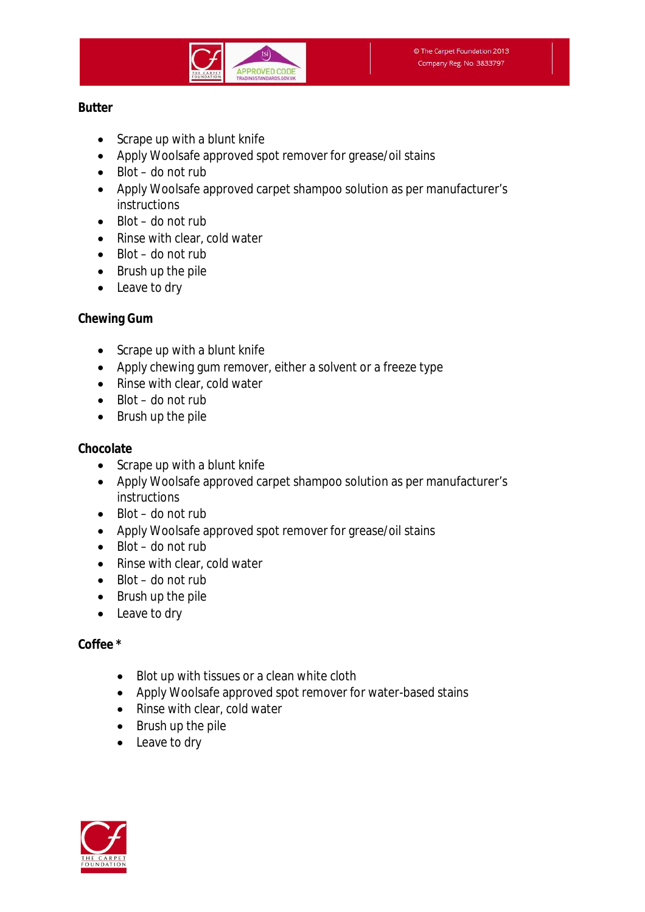

#### **Butter**

- Scrape up with a blunt knife
- Apply Woolsafe approved spot remover for grease/oil stains
- $\bullet$  Blot do not rub
- Apply Woolsafe approved carpet shampoo solution as per manufacturer's instructions
- $\bullet$  Blot do not rub
- Rinse with clear, cold water
- $\bullet$  Blot do not rub
- Brush up the pile
- Leave to dry

#### **Chewing Gum**

- Scrape up with a blunt knife
- Apply chewing gum remover, either a solvent or a freeze type
- Rinse with clear, cold water
- $\bullet$  Blot do not rub
- Brush up the pile

## **Chocolate**

- Scrape up with a blunt knife
- Apply Woolsafe approved carpet shampoo solution as per manufacturer's instructions
- $\bullet$  Blot do not rub
- Apply Woolsafe approved spot remover for grease/oil stains
- $\bullet$  Blot do not rub
- Rinse with clear, cold water
- $\bullet$  Blot do not rub
- Brush up the pile
- Leave to dry

## **Coffee \***

- Blot up with tissues or a clean white cloth
- Apply Woolsafe approved spot remover for water-based stains
- Rinse with clear, cold water
- Brush up the pile
- Leave to dry

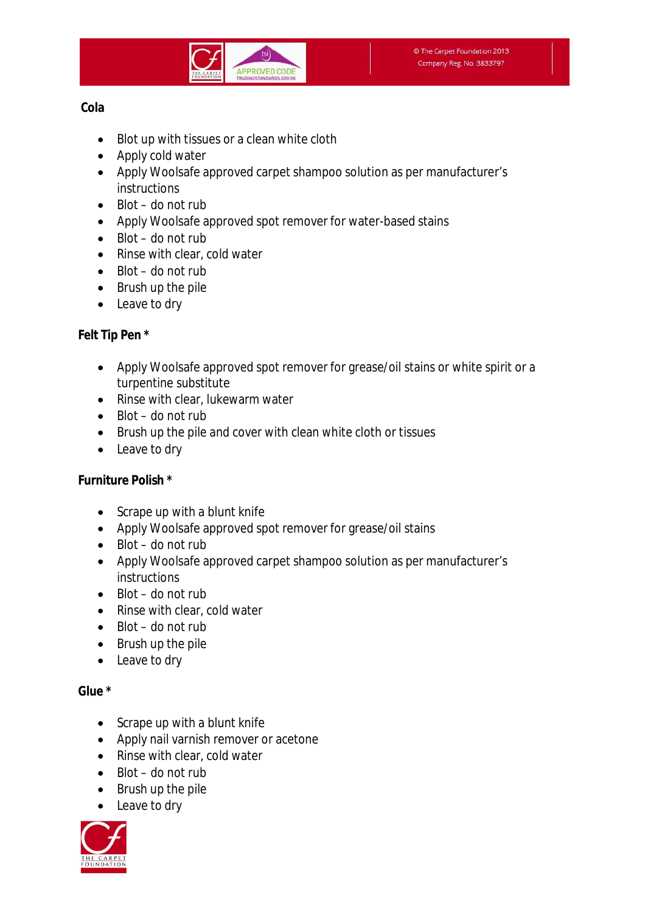

#### **Cola**

- Blot up with tissues or a clean white cloth
- Apply cold water
- Apply Woolsafe approved carpet shampoo solution as per manufacturer's **instructions**
- $\bullet$  Blot do not rub
- Apply Woolsafe approved spot remover for water-based stains
- $\bullet$  Blot do not rub
- Rinse with clear, cold water
- $B$ lot do not rub
- $\bullet$  Brush up the pile
- Leave to dry

# **Felt Tip Pen \***

- Apply Woolsafe approved spot remover for grease/oil stains or white spirit or a turpentine substitute
- Rinse with clear, lukewarm water
- $\bullet$  Blot do not rub
- Brush up the pile and cover with clean white cloth or tissues
- Leave to dry

## **Furniture Polish \***

- Scrape up with a blunt knife
- Apply Woolsafe approved spot remover for grease/oil stains
- $\bullet$  Blot do not rub
- Apply Woolsafe approved carpet shampoo solution as per manufacturer's instructions
- $\bullet$  Blot do not rub
- Rinse with clear, cold water
- $\bullet$  Blot do not rub
- Brush up the pile
- Leave to dry

## **Glue \***

- Scrape up with a blunt knife
- Apply nail varnish remover or acetone
- Rinse with clear, cold water
- $\bullet$  Blot do not rub
- Brush up the pile
- Leave to dry

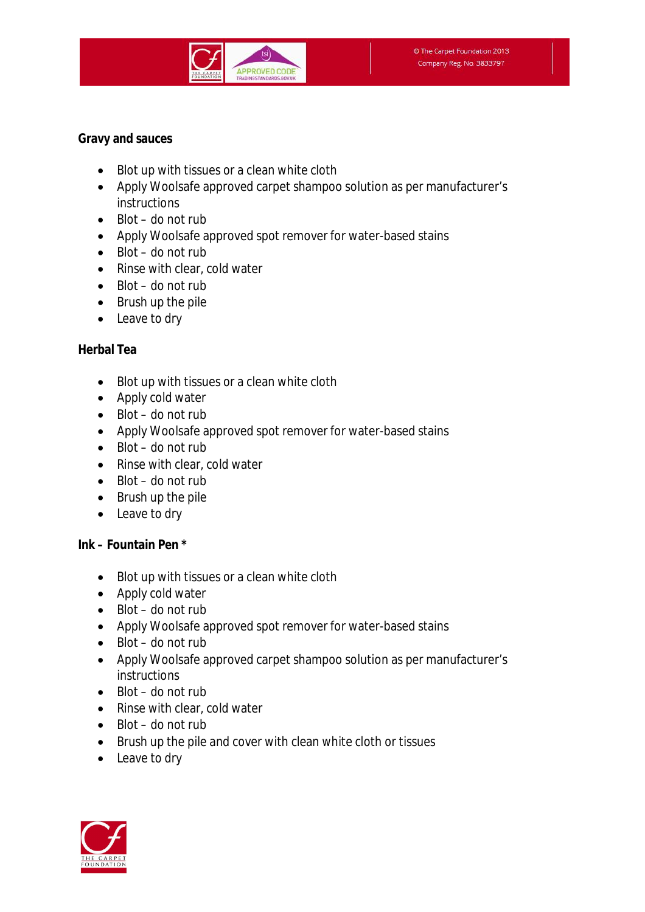

#### **Gravy and sauces**

- Blot up with tissues or a clean white cloth
- Apply Woolsafe approved carpet shampoo solution as per manufacturer's instructions
- $\bullet$  Blot do not rub
- Apply Woolsafe approved spot remover for water-based stains
- $\bullet$  Blot do not rub
- Rinse with clear, cold water
- $\bullet$  Blot do not rub
- Brush up the pile
- Leave to dry

## **Herbal Tea**

- Blot up with tissues or a clean white cloth
- Apply cold water
- $\bullet$  Blot do not rub
- Apply Woolsafe approved spot remover for water-based stains
- $\bullet$  Blot do not rub
- Rinse with clear, cold water
- $\bullet$  Blot do not rub
- $\bullet$  Brush up the pile
- Leave to dry

## **Ink – Fountain Pen \***

- Blot up with tissues or a clean white cloth
- Apply cold water
- $\bullet$  Blot do not rub
- Apply Woolsafe approved spot remover for water-based stains
- $\bullet$  Blot do not rub
- Apply Woolsafe approved carpet shampoo solution as per manufacturer's instructions
- $\bullet$  Blot do not rub
- Rinse with clear, cold water
- $\bullet$  Blot do not rub
- Brush up the pile and cover with clean white cloth or tissues
- Leave to dry

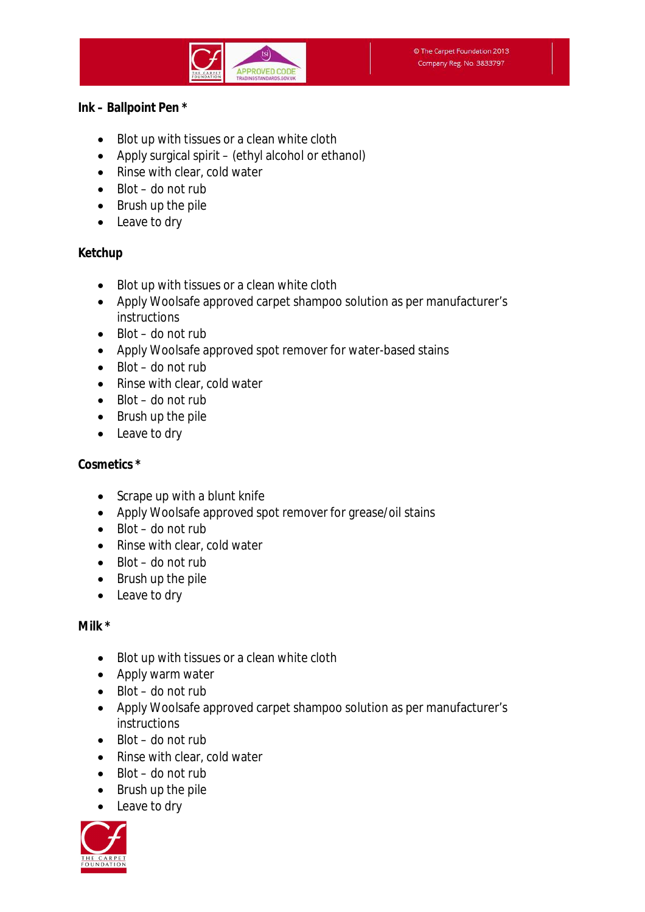#### **Ink – Ballpoint Pen \***

- Blot up with tissues or a clean white cloth
- Apply surgical spirit (ethyl alcohol or ethanol)
- Rinse with clear, cold water
- $\bullet$  Blot do not rub
- Brush up the pile
- Leave to dry

#### **Ketchup**

- Blot up with tissues or a clean white cloth
- Apply Woolsafe approved carpet shampoo solution as per manufacturer's instructions
- $\bullet$  Blot do not rub
- Apply Woolsafe approved spot remover for water-based stains
- $\bullet$  Blot do not rub
- Rinse with clear, cold water
- $\bullet$  Blot do not rub
- Brush up the pile
- Leave to dry

## **Cosmetics \***

- Scrape up with a blunt knife
- Apply Woolsafe approved spot remover for grease/oil stains
- $\bullet$  Blot do not rub
- Rinse with clear, cold water
- $\bullet$  Blot do not rub
- Brush up the pile
- Leave to dry

## **Milk \***

- Blot up with tissues or a clean white cloth
- Apply warm water
- $\bullet$  Blot do not rub
- Apply Woolsafe approved carpet shampoo solution as per manufacturer's **instructions**
- $\bullet$  Blot do not rub
- Rinse with clear, cold water
- $\bullet$  Blot do not rub
- $\bullet$  Brush up the pile
- Leave to dry

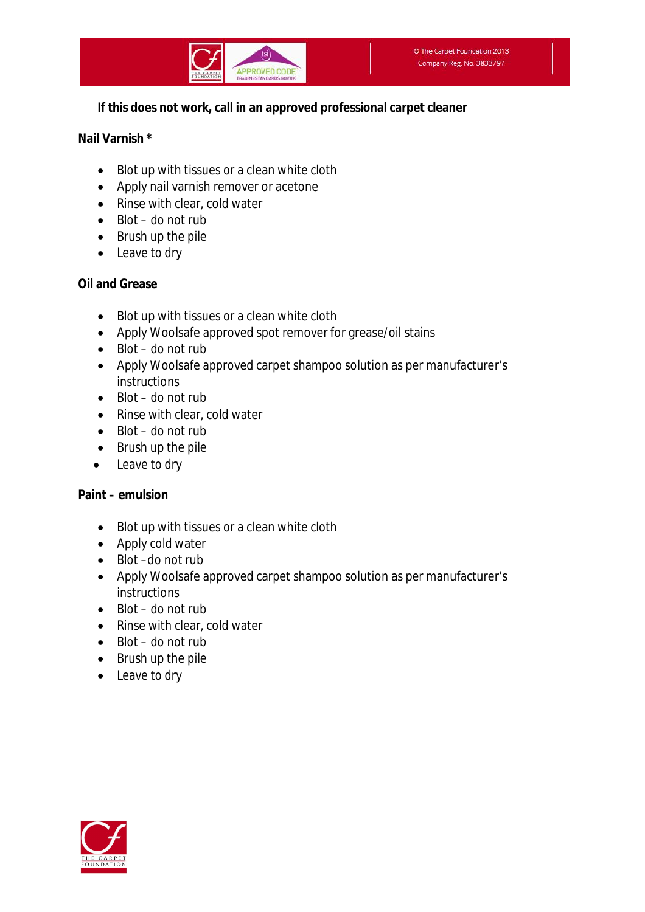## **If this does not work, call in an approved professional carpet cleaner**

#### **Nail Varnish \***

- Blot up with tissues or a clean white cloth
- Apply nail varnish remover or acetone
- Rinse with clear, cold water
- $\bullet$  Blot do not rub
- Brush up the pile
- Leave to dry

## **Oil and Grease**

- Blot up with tissues or a clean white cloth
- Apply Woolsafe approved spot remover for grease/oil stains
- $\bullet$  Blot do not rub
- Apply Woolsafe approved carpet shampoo solution as per manufacturer's **instructions**
- $\bullet$  Blot do not rub
- Rinse with clear, cold water
- $\bullet$  Blot do not rub
- $\bullet$  Brush up the pile
- Leave to dry

## **Paint – emulsion**

- Blot up with tissues or a clean white cloth
- Apply cold water
- Blot –do not rub
- Apply Woolsafe approved carpet shampoo solution as per manufacturer's instructions
- $\bullet$  Blot do not rub
- Rinse with clear, cold water
- $\bullet$  Blot do not rub
- Brush up the pile
- Leave to dry

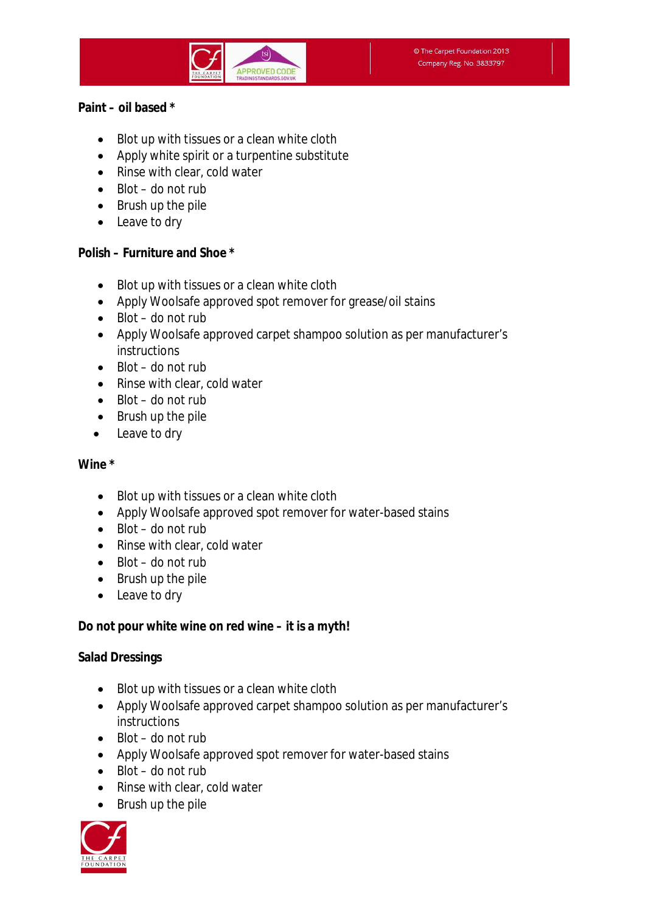

#### **Paint – oil based \***

- Blot up with tissues or a clean white cloth
- Apply white spirit or a turpentine substitute
- Rinse with clear, cold water
- $\bullet$  Blot do not rub
- Brush up the pile
- Leave to dry

## **Polish – Furniture and Shoe \***

- Blot up with tissues or a clean white cloth
- Apply Woolsafe approved spot remover for grease/oil stains
- $\bullet$  Blot do not rub
- Apply Woolsafe approved carpet shampoo solution as per manufacturer's instructions
- $\bullet$  Blot do not rub
- Rinse with clear, cold water
- $\bullet$  Blot do not rub
- Brush up the pile
- Leave to dry

## **Wine \***

- Blot up with tissues or a clean white cloth
- Apply Woolsafe approved spot remover for water-based stains
- $\bullet$  Blot do not rub
- Rinse with clear, cold water
- $\bullet$  Blot do not rub
- Brush up the pile
- Leave to dry

## **Do not pour white wine on red wine – it is a myth!**

## **Salad Dressings**

- Blot up with tissues or a clean white cloth
- Apply Woolsafe approved carpet shampoo solution as per manufacturer's instructions
- $\bullet$  Blot do not rub
- Apply Woolsafe approved spot remover for water-based stains
- $\bullet$  Blot do not rub
- Rinse with clear, cold water
- Brush up the pile